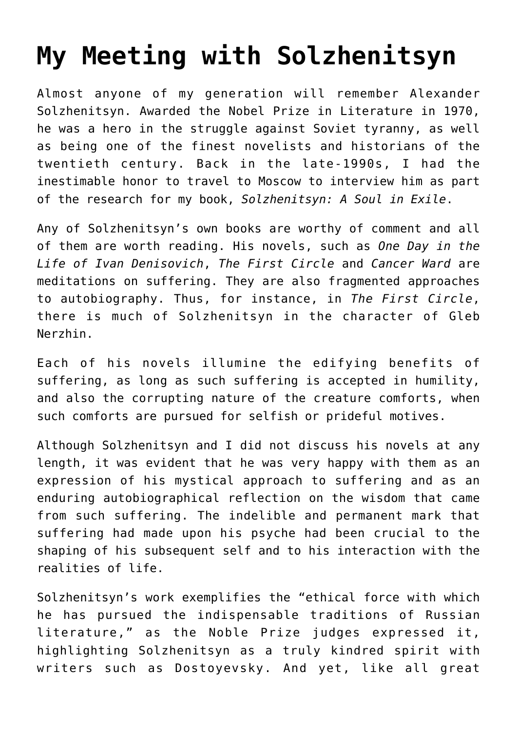## **[My Meeting with Solzhenitsyn](https://intellectualtakeout.org/2016/08/my-meeting-with-solzhenitsyn/)**

Almost anyone of my generation will remember Alexander Solzhenitsyn. Awarded the Nobel Prize in Literature in 1970, he was a hero in the struggle against Soviet tyranny, as well as being one of the finest novelists and historians of the twentieth century. Back in the late-1990s, I had the inestimable honor to travel to Moscow to interview him as part of the research for my book, *Solzhenitsyn: A Soul in Exile*.

Any of Solzhenitsyn's own books are worthy of comment and all of them are worth reading. His novels, such as *One Day in the Life of Ivan Denisovich*, *The First Circle* and *Cancer Ward* are meditations on suffering. They are also fragmented approaches to autobiography. Thus, for instance, in *The First Circle*, there is much of Solzhenitsyn in the character of Gleb Nerzhin.

Each of his novels illumine the edifying benefits of suffering, as long as such suffering is accepted in humility, and also the corrupting nature of the creature comforts, when such comforts are pursued for selfish or prideful motives.

Although Solzhenitsyn and I did not discuss his novels at any length, it was evident that he was very happy with them as an expression of his mystical approach to suffering and as an enduring autobiographical reflection on the wisdom that came from such suffering. The indelible and permanent mark that suffering had made upon his psyche had been crucial to the shaping of his subsequent self and to his interaction with the realities of life.

Solzhenitsyn's work exemplifies the "ethical force with which he has pursued the indispensable traditions of Russian literature," as the Noble Prize judges expressed it, highlighting Solzhenitsyn as a truly kindred spirit with writers such as Dostoyevsky. And yet, like all great